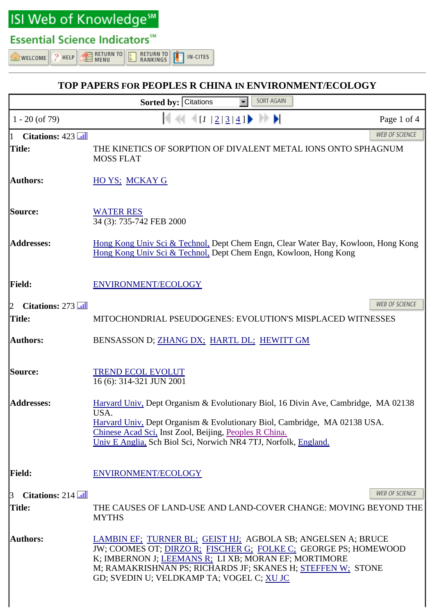ISI Web of Knowledge<sup>sM</sup>

## **Essential Science Indicators™**

 $2$  HELP

WELCOME

**EXECUTE**<br>EXPRESS **RETURN TO RETURN TO** IN-CITES RANKINGS

## **TOP PAPERS FOR PEOPLES R CHINA IN ENVIRONMENT/ECOLOGY Sorted by: Citations** SORT AGAIN 1 - 20 (of 79)  $\left| \frac{1}{2} \frac{3}{4} \right|$  Page 1 of 4 **WEB OF SCIENCE Citations: 423 Title:** THE KINETICS OF SORPTION OF DIVALENT METAL IONS ONTO SPHAGNUM MOSS FLAT Authors: **HO YS**; MCKAY G **Source:** WATER RES 34 (3): 735-742 FEB 2000 **Addresses:** Hong Kong Univ Sci & Technol, Dept Chem Engn, Clear Water Bay, Kowloon, Hong Kong Hong Kong Univ Sci & Technol, Dept Chem Engn, Kowloon, Hong Kong Field: ENVIRONMENT/ECOLOGY **WEB OF SCIENCE** 2 **Citations:** 273 **Title:** MITOCHONDRIAL PSEUDOGENES: EVOLUTION'S MISPLACED WITNESSES Authors: BENSASSON D; ZHANG DX; HARTL DL; HEWITT GM **Source:** TREND ECOL EVOLUT 16 (6): 314-321 JUN 2001 **Addresses:** Harvard Univ, Dept Organism & Evolutionary Biol, 16 Divin Ave, Cambridge, MA 02138 USA. Harvard Univ, Dept Organism & Evolutionary Biol, Cambridge, MA 02138 USA. Chinese Acad Sci, Inst Zool, Beijing, Peoples R China. Univ E Anglia, Sch Biol Sci, Norwich NR4 7TJ, Norfolk, England. **Field:** ENVIRONMENT/ECOLOGY **WEB OF SCIENCE** 3 **Citations:** 214 **Title:** THE CAUSES OF LAND-USE AND LAND-COVER CHANGE: MOVING BEYOND THE MYTHS **Authors:** LAMBIN EF; TURNER BL; GEIST HJ; AGBOLA SB; ANGELSEN A; BRUCE JW; COOMES OT; DIRZO R; FISCHER G; FOLKE C; GEORGE PS; HOMEWOOD K; IMBERNON J; LEEMANS R; LI XB; MORAN EF; MORTIMORE M; RAMAKRISHNAN PS; RICHARDS JF; SKANES H; STEFFEN W; STONE GD; SVEDIN U; VELDKAMP TA; VOGEL C; XU JC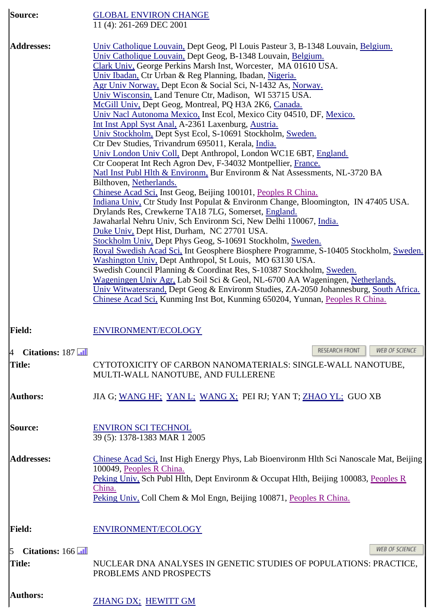| Source:                          | <b>GLOBAL ENVIRON CHANGE</b><br>11 (4): 261-269 DEC 2001                                                                                                                                                                                                                                                                                                                                                                                                                                                                                                                                                                                                                                                                                                                                                                                                                                                                                                                                                                                                                                                                                                                                                                                                                                                                                                                                                                                                                                                                                                                                                                                                                                                                                                                                                                                                           |  |  |  |
|----------------------------------|--------------------------------------------------------------------------------------------------------------------------------------------------------------------------------------------------------------------------------------------------------------------------------------------------------------------------------------------------------------------------------------------------------------------------------------------------------------------------------------------------------------------------------------------------------------------------------------------------------------------------------------------------------------------------------------------------------------------------------------------------------------------------------------------------------------------------------------------------------------------------------------------------------------------------------------------------------------------------------------------------------------------------------------------------------------------------------------------------------------------------------------------------------------------------------------------------------------------------------------------------------------------------------------------------------------------------------------------------------------------------------------------------------------------------------------------------------------------------------------------------------------------------------------------------------------------------------------------------------------------------------------------------------------------------------------------------------------------------------------------------------------------------------------------------------------------------------------------------------------------|--|--|--|
| <b>Addresses:</b>                | Univ Catholique Louvain, Dept Geog, Pl Louis Pasteur 3, B-1348 Louvain, Belgium.<br>Univ Catholique Louvain, Dept Geog, B-1348 Louvain, Belgium.<br>Clark Univ, George Perkins Marsh Inst, Worcester, MA 01610 USA.<br>Univ Ibadan, Ctr Urban & Reg Planning, Ibadan, Nigeria.<br>Agr Univ Norway, Dept Econ & Social Sci, N-1432 As, Norway.<br>Univ Wisconsin, Land Tenure Ctr, Madison, WI 53715 USA.<br>McGill Univ, Dept Geog, Montreal, PQ H3A 2K6, Canada.<br>Univ Nacl Autonoma Mexico, Inst Ecol, Mexico City 04510, DF, Mexico.<br>Int Inst Appl Syst Anal, A-2361 Laxenburg, Austria.<br>Univ Stockholm, Dept Syst Ecol, S-10691 Stockholm, Sweden.<br>Ctr Dev Studies, Trivandrum 695011, Kerala, <i>India</i> .<br>Univ London Univ Coll, Dept Anthropol, London WC1E 6BT, England.<br>Ctr Cooperat Int Rech Agron Dev, F-34032 Montpellier, France.<br>Natl Inst Publ Hlth & Environm, Bur Environm & Nat Assessments, NL-3720 BA<br>Bilthoven, Netherlands.<br>Chinese Acad Sci, Inst Geog, Beijing 100101, Peoples R China.<br>Indiana Univ, Ctr Study Inst Populat & Environm Change, Bloomington, IN 47405 USA.<br>Drylands Res, Crewkerne TA18 7LG, Somerset, England.<br>Jawaharlal Nehru Univ, Sch Environm Sci, New Delhi 110067, India.<br>Duke Univ, Dept Hist, Durham, NC 27701 USA.<br>Stockholm Univ, Dept Phys Geog, S-10691 Stockholm, Sweden.<br>Royal Swedish Acad Sci, Int Geosphere Biosphere Programme, S-10405 Stockholm, Sweden.<br>Washington Univ, Dept Anthropol, St Louis, MO 63130 USA.<br>Swedish Council Planning & Coordinat Res, S-10387 Stockholm, Sweden.<br>Wageningen Univ Agr, Lab Soil Sci & Geol, NL-6700 AA Wageningen, Netherlands.<br>Univ Witwatersrand, Dept Geog & Environm Studies, ZA-2050 Johannesburg, South Africa.<br>Chinese Acad Sci, Kunming Inst Bot, Kunming 650204, Yunnan, Peoples R China. |  |  |  |
| <b>Field:</b>                    | ENVIRONMENT/ECOLOGY                                                                                                                                                                                                                                                                                                                                                                                                                                                                                                                                                                                                                                                                                                                                                                                                                                                                                                                                                                                                                                                                                                                                                                                                                                                                                                                                                                                                                                                                                                                                                                                                                                                                                                                                                                                                                                                |  |  |  |
| $\overline{A}$<br>Citations: 187 | RESEARCH FRONT<br>WEB OF SCIENCE                                                                                                                                                                                                                                                                                                                                                                                                                                                                                                                                                                                                                                                                                                                                                                                                                                                                                                                                                                                                                                                                                                                                                                                                                                                                                                                                                                                                                                                                                                                                                                                                                                                                                                                                                                                                                                   |  |  |  |
| <b>Title:</b>                    | CYTOTOXICITY OF CARBON NANOMATERIALS: SINGLE-WALL NANOTUBE,<br>MULTI-WALL NANOTUBE, AND FULLERENE                                                                                                                                                                                                                                                                                                                                                                                                                                                                                                                                                                                                                                                                                                                                                                                                                                                                                                                                                                                                                                                                                                                                                                                                                                                                                                                                                                                                                                                                                                                                                                                                                                                                                                                                                                  |  |  |  |
| <b>Authors:</b>                  | JIA G; WANG HF; YAN L; WANG X; PEI RJ; YAN T; ZHAO YL; GUO XB                                                                                                                                                                                                                                                                                                                                                                                                                                                                                                                                                                                                                                                                                                                                                                                                                                                                                                                                                                                                                                                                                                                                                                                                                                                                                                                                                                                                                                                                                                                                                                                                                                                                                                                                                                                                      |  |  |  |
| Source:                          | <b>ENVIRON SCI TECHNOL</b><br>39 (5): 1378-1383 MAR 1 2005                                                                                                                                                                                                                                                                                                                                                                                                                                                                                                                                                                                                                                                                                                                                                                                                                                                                                                                                                                                                                                                                                                                                                                                                                                                                                                                                                                                                                                                                                                                                                                                                                                                                                                                                                                                                         |  |  |  |
| <b>Addresses:</b>                | Chinese Acad Sci, Inst High Energy Phys, Lab Bioenvironm Hlth Sci Nanoscale Mat, Beijing<br>100049, Peoples R China.<br>Peking Univ, Sch Publ Hlth, Dept Environm & Occupat Hlth, Beijing 100083, Peoples R<br>China.<br>Peking Univ, Coll Chem & Mol Engn, Beijing 100871, Peoples R China.                                                                                                                                                                                                                                                                                                                                                                                                                                                                                                                                                                                                                                                                                                                                                                                                                                                                                                                                                                                                                                                                                                                                                                                                                                                                                                                                                                                                                                                                                                                                                                       |  |  |  |
| <b>Field:</b>                    | ENVIRONMENT/ECOLOGY                                                                                                                                                                                                                                                                                                                                                                                                                                                                                                                                                                                                                                                                                                                                                                                                                                                                                                                                                                                                                                                                                                                                                                                                                                                                                                                                                                                                                                                                                                                                                                                                                                                                                                                                                                                                                                                |  |  |  |
| 5<br>Citations: 166              | <b>WEB OF SCIENCE</b>                                                                                                                                                                                                                                                                                                                                                                                                                                                                                                                                                                                                                                                                                                                                                                                                                                                                                                                                                                                                                                                                                                                                                                                                                                                                                                                                                                                                                                                                                                                                                                                                                                                                                                                                                                                                                                              |  |  |  |
| <b>Title:</b>                    | NUCLEAR DNA ANALYSES IN GENETIC STUDIES OF POPULATIONS: PRACTICE,<br>PROBLEMS AND PROSPECTS                                                                                                                                                                                                                                                                                                                                                                                                                                                                                                                                                                                                                                                                                                                                                                                                                                                                                                                                                                                                                                                                                                                                                                                                                                                                                                                                                                                                                                                                                                                                                                                                                                                                                                                                                                        |  |  |  |
| <b>Authors:</b>                  | ZHANG DX; HEWITT GM                                                                                                                                                                                                                                                                                                                                                                                                                                                                                                                                                                                                                                                                                                                                                                                                                                                                                                                                                                                                                                                                                                                                                                                                                                                                                                                                                                                                                                                                                                                                                                                                                                                                                                                                                                                                                                                |  |  |  |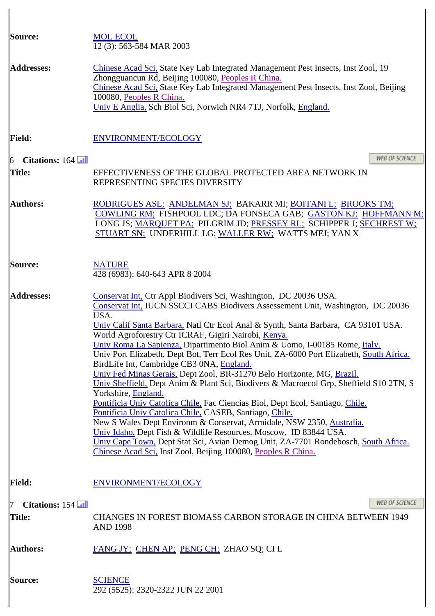| Source:                          | <b>MOL ECOL</b><br>12(3): 563-584 MAR 2003                                                                                                                                                                                                                                                                                                                                                                                                                                                                                                                                                                                                                                                                                                                                                                                                                                                                                                                                                                                                                                                                                                                                    |  |  |
|----------------------------------|-------------------------------------------------------------------------------------------------------------------------------------------------------------------------------------------------------------------------------------------------------------------------------------------------------------------------------------------------------------------------------------------------------------------------------------------------------------------------------------------------------------------------------------------------------------------------------------------------------------------------------------------------------------------------------------------------------------------------------------------------------------------------------------------------------------------------------------------------------------------------------------------------------------------------------------------------------------------------------------------------------------------------------------------------------------------------------------------------------------------------------------------------------------------------------|--|--|
| <b>Addresses:</b>                | Chinese Acad Sci, State Key Lab Integrated Management Pest Insects, Inst Zool, 19<br>Zhongguancun Rd, Beijing 100080, Peoples R China.<br>Chinese Acad Sci, State Key Lab Integrated Management Pest Insects, Inst Zool, Beijing<br>100080, Peoples R China.<br>Univ E Anglia, Sch Biol Sci, Norwich NR4 7TJ, Norfolk, England.                                                                                                                                                                                                                                                                                                                                                                                                                                                                                                                                                                                                                                                                                                                                                                                                                                               |  |  |
| <b>Field:</b>                    | ENVIRONMENT/ECOLOGY                                                                                                                                                                                                                                                                                                                                                                                                                                                                                                                                                                                                                                                                                                                                                                                                                                                                                                                                                                                                                                                                                                                                                           |  |  |
| Citations: 164<br>$\overline{6}$ | <b>WEB OF SCIENCE</b>                                                                                                                                                                                                                                                                                                                                                                                                                                                                                                                                                                                                                                                                                                                                                                                                                                                                                                                                                                                                                                                                                                                                                         |  |  |
| <b>Title:</b>                    | EFFECTIVENESS OF THE GLOBAL PROTECTED AREA NETWORK IN<br>REPRESENTING SPECIES DIVERSITY                                                                                                                                                                                                                                                                                                                                                                                                                                                                                                                                                                                                                                                                                                                                                                                                                                                                                                                                                                                                                                                                                       |  |  |
| <b>Authors:</b>                  | RODRIGUES ASL; ANDELMAN SJ; BAKARR MI; BOITANI L; BROOKS TM;<br>COWLING RM; FISHPOOL LDC; DA FONSECA GAB; GASTON KJ; HOFFMANN M;<br>LONG JS; MARQUET PA; PILGRIM JD; PRESSEY RL; SCHIPPER J; SECHREST W;<br>STUART SN; UNDERHILL LG; WALLER RW; WATTS MEJ; YAN X                                                                                                                                                                                                                                                                                                                                                                                                                                                                                                                                                                                                                                                                                                                                                                                                                                                                                                              |  |  |
| <b>Source:</b>                   | <b>NATURE</b><br>428 (6983): 640-643 APR 8 2004                                                                                                                                                                                                                                                                                                                                                                                                                                                                                                                                                                                                                                                                                                                                                                                                                                                                                                                                                                                                                                                                                                                               |  |  |
| <b>Addresses:</b>                | Conservat Int, Ctr Appl Biodivers Sci, Washington, DC 20036 USA.<br>Conservat Int, IUCN SSCCI CABS Biodivers Assessement Unit, Washington, DC 20036<br>USA.<br>Univ Calif Santa Barbara, Natl Ctr Ecol Anal & Synth, Santa Barbara, CA 93101 USA.<br>World Agroforestry Ctr ICRAF, Gigiri Nairobi, Kenya.<br>Univ Roma La Sapienza, Dipartimento Biol Anim & Uomo, I-00185 Rome, Italy.<br>Univ Port Elizabeth, Dept Bot, Terr Ecol Res Unit, ZA-6000 Port Elizabeth, South Africa.<br>BirdLife Int, Cambridge CB3 0NA, England.<br>Univ Fed Minas Gerais, Dept Zool, BR-31270 Belo Horizonte, MG, Brazil.<br>Univ Sheffield, Dept Anim & Plant Sci, Biodivers & Macroecol Grp, Sheffield S10 2TN, S<br>Yorkshire, England.<br>Pontificia Univ Catolica Chile, Fac Ciencias Biol, Dept Ecol, Santiago, Chile.<br>Pontificia Univ Catolica Chile, CASEB, Santiago, Chile.<br>New S Wales Dept Environm & Conservat, Armidale, NSW 2350, Australia.<br>Univ Idaho, Dept Fish & Wildlife Resources, Moscow, ID 83844 USA.<br>Univ Cape Town, Dept Stat Sci, Avian Demog Unit, ZA-7701 Rondebosch, South Africa.<br>Chinese Acad Sci, Inst Zool, Beijing 100080, Peoples R China. |  |  |
| <b>Field:</b>                    | ENVIRONMENT/ECOLOGY                                                                                                                                                                                                                                                                                                                                                                                                                                                                                                                                                                                                                                                                                                                                                                                                                                                                                                                                                                                                                                                                                                                                                           |  |  |
| Citations: 154                   | WEB OF SCIENCE                                                                                                                                                                                                                                                                                                                                                                                                                                                                                                                                                                                                                                                                                                                                                                                                                                                                                                                                                                                                                                                                                                                                                                |  |  |
| <b>Title:</b>                    | <b>CHANGES IN FOREST BIOMASS CARBON STORAGE IN CHINA BETWEEN 1949</b><br><b>AND 1998</b>                                                                                                                                                                                                                                                                                                                                                                                                                                                                                                                                                                                                                                                                                                                                                                                                                                                                                                                                                                                                                                                                                      |  |  |
| <b>Authors:</b>                  | FANG JY: CHEN AP: PENG CH: ZHAO SQ; CI L                                                                                                                                                                                                                                                                                                                                                                                                                                                                                                                                                                                                                                                                                                                                                                                                                                                                                                                                                                                                                                                                                                                                      |  |  |
| <b>Source:</b>                   | <b>SCIENCE</b><br>292 (5525): 2320-2322 JUN 22 2001                                                                                                                                                                                                                                                                                                                                                                                                                                                                                                                                                                                                                                                                                                                                                                                                                                                                                                                                                                                                                                                                                                                           |  |  |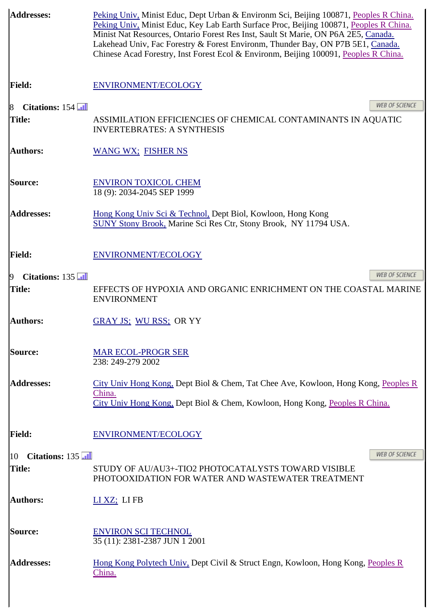| <b>Addresses:</b>                  | Peking Univ, Minist Educ, Dept Urban & Environm Sci, Beijing 100871, Peoples R China.<br>Peking Univ, Minist Educ, Key Lab Earth Surface Proc, Beijing 100871, Peoples R China.<br>Minist Nat Resources, Ontario Forest Res Inst, Sault St Marie, ON P6A 2E5, Canada.<br>Lakehead Univ, Fac Forestry & Forest Environm, Thunder Bay, ON P7B 5E1, Canada.<br>Chinese Acad Forestry, Inst Forest Ecol & Environm, Beijing 100091, Peoples R China. |  |
|------------------------------------|--------------------------------------------------------------------------------------------------------------------------------------------------------------------------------------------------------------------------------------------------------------------------------------------------------------------------------------------------------------------------------------------------------------------------------------------------|--|
| <b>Field:</b>                      | ENVIRONMENT/ECOLOGY                                                                                                                                                                                                                                                                                                                                                                                                                              |  |
| Citations: 154<br>8                | <b>WEB OF SCIENCE</b>                                                                                                                                                                                                                                                                                                                                                                                                                            |  |
| <b>Title:</b>                      | ASSIMILATION EFFICIENCIES OF CHEMICAL CONTAMINANTS IN AQUATIC<br><b>INVERTEBRATES: A SYNTHESIS</b>                                                                                                                                                                                                                                                                                                                                               |  |
| <b>Authors:</b>                    | <b>WANG WX; FISHER NS</b>                                                                                                                                                                                                                                                                                                                                                                                                                        |  |
| Source:                            | <b>ENVIRON TOXICOL CHEM</b><br>18 (9): 2034-2045 SEP 1999                                                                                                                                                                                                                                                                                                                                                                                        |  |
| <b>Addresses:</b>                  | Hong Kong Univ Sci & Technol, Dept Biol, Kowloon, Hong Kong<br>SUNY Stony Brook, Marine Sci Res Ctr, Stony Brook, NY 11794 USA.                                                                                                                                                                                                                                                                                                                  |  |
| <b>Field:</b>                      | ENVIRONMENT/ECOLOGY                                                                                                                                                                                                                                                                                                                                                                                                                              |  |
| Citations: 135<br>$\boldsymbol{9}$ | <b>WEB OF SCIENCE</b>                                                                                                                                                                                                                                                                                                                                                                                                                            |  |
| Title:                             | EFFECTS OF HYPOXIA AND ORGANIC ENRICHMENT ON THE COASTAL MARINE<br><b>ENVIRONMENT</b>                                                                                                                                                                                                                                                                                                                                                            |  |
| <b>Authors:</b>                    | <b>GRAY JS: WU RSS: OR YY</b>                                                                                                                                                                                                                                                                                                                                                                                                                    |  |
| <b>Source:</b>                     | <b>MAR ECOL-PROGR SER</b><br>238: 249-279 2002                                                                                                                                                                                                                                                                                                                                                                                                   |  |
| <b>Addresses:</b>                  | City Univ Hong Kong, Dept Biol & Chem, Tat Chee Ave, Kowloon, Hong Kong, Peoples R                                                                                                                                                                                                                                                                                                                                                               |  |
|                                    | China.<br>City Univ Hong Kong, Dept Biol & Chem, Kowloon, Hong Kong, Peoples R China.                                                                                                                                                                                                                                                                                                                                                            |  |
| <b>Field:</b>                      | ENVIRONMENT/ECOLOGY                                                                                                                                                                                                                                                                                                                                                                                                                              |  |
| Citations: 135<br>10               | <b>WEB OF SCIENCE</b>                                                                                                                                                                                                                                                                                                                                                                                                                            |  |
| Title:                             | STUDY OF AU/AU3+-TIO2 PHOTOCATALYSTS TOWARD VISIBLE<br>PHOTOOXIDATION FOR WATER AND WASTEWATER TREATMENT                                                                                                                                                                                                                                                                                                                                         |  |
| <b>Authors:</b>                    | $LI XZ$ ; $LI FB$                                                                                                                                                                                                                                                                                                                                                                                                                                |  |
| <b>Source:</b>                     | <b>ENVIRON SCI TECHNOL</b><br>35 (11): 2381-2387 JUN 1 2001                                                                                                                                                                                                                                                                                                                                                                                      |  |
| <b>Addresses:</b>                  | <u>Hong Kong Polytech Univ, Dept Civil &amp; Struct Engn, Kowloon, Hong Kong, Peoples R</u><br>China.                                                                                                                                                                                                                                                                                                                                            |  |
|                                    |                                                                                                                                                                                                                                                                                                                                                                                                                                                  |  |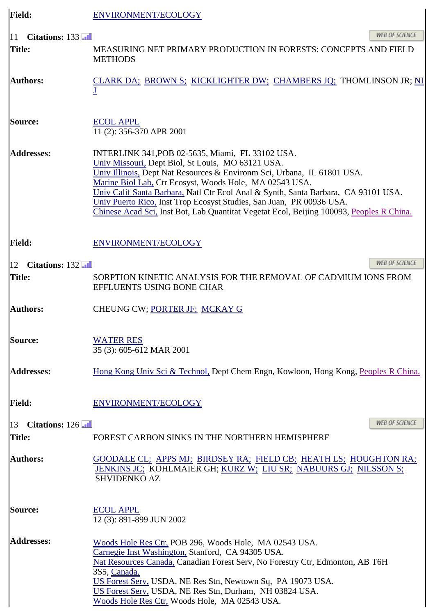| <b>Field:</b>                               | ENVIRONMENT/ECOLOGY                                                                                                                                                                                                                                                                                                                                                                                                                                                                                   |  |  |
|---------------------------------------------|-------------------------------------------------------------------------------------------------------------------------------------------------------------------------------------------------------------------------------------------------------------------------------------------------------------------------------------------------------------------------------------------------------------------------------------------------------------------------------------------------------|--|--|
| Citations: 133<br>11 <sup>1</sup><br>Title: | <b>WEB OF SCIENCE</b><br>MEASURING NET PRIMARY PRODUCTION IN FORESTS: CONCEPTS AND FIELD<br><b>METHODS</b>                                                                                                                                                                                                                                                                                                                                                                                            |  |  |
| <b>Authors:</b>                             | CLARK DA: BROWN S: KICKLIGHTER DW; CHAMBERS JQ; THOMLINSON JR; NI                                                                                                                                                                                                                                                                                                                                                                                                                                     |  |  |
| Source:                                     | <b>ECOL APPL</b><br>11 (2): 356-370 APR 2001                                                                                                                                                                                                                                                                                                                                                                                                                                                          |  |  |
| <b>Addresses:</b>                           | INTERLINK 341, POB 02-5635, Miami, FL 33102 USA.<br>Univ Missouri, Dept Biol, St Louis, MO 63121 USA.<br>Univ Illinois, Dept Nat Resources & Environm Sci, Urbana, IL 61801 USA.<br>Marine Biol Lab, Ctr Ecosyst, Woods Hole, MA 02543 USA.<br>Univ Calif Santa Barbara, Natl Ctr Ecol Anal & Synth, Santa Barbara, CA 93101 USA.<br>Univ Puerto Rico, Inst Trop Ecosyst Studies, San Juan, PR 00936 USA.<br>Chinese Acad Sci, Inst Bot, Lab Quantitat Vegetat Ecol, Beijing 100093, Peoples R China. |  |  |
| <b>Field:</b>                               | ENVIRONMENT/ECOLOGY                                                                                                                                                                                                                                                                                                                                                                                                                                                                                   |  |  |
| Citations: 132<br>12                        | <b>WEB OF SCIENCE</b>                                                                                                                                                                                                                                                                                                                                                                                                                                                                                 |  |  |
| Title:                                      | SORPTION KINETIC ANALYSIS FOR THE REMOVAL OF CADMIUM IONS FROM<br>EFFLUENTS USING BONE CHAR                                                                                                                                                                                                                                                                                                                                                                                                           |  |  |
| <b>Authors:</b>                             | CHEUNG CW; PORTER JF; MCKAY G                                                                                                                                                                                                                                                                                                                                                                                                                                                                         |  |  |
| Source:                                     | <b>WATER RES</b><br>35 (3): 605-612 MAR 2001                                                                                                                                                                                                                                                                                                                                                                                                                                                          |  |  |
| <b>Addresses:</b>                           | Hong Kong Univ Sci & Technol, Dept Chem Engn, Kowloon, Hong Kong, Peoples R China.                                                                                                                                                                                                                                                                                                                                                                                                                    |  |  |
| <b>Field:</b>                               | ENVIRONMENT/ECOLOGY                                                                                                                                                                                                                                                                                                                                                                                                                                                                                   |  |  |
| Citations: 126<br>$\vert$ 13                | <b>WEB OF SCIENCE</b>                                                                                                                                                                                                                                                                                                                                                                                                                                                                                 |  |  |
| Title:                                      | FOREST CARBON SINKS IN THE NORTHERN HEMISPHERE                                                                                                                                                                                                                                                                                                                                                                                                                                                        |  |  |
| <b>Authors:</b>                             | GOODALE CL; APPS MJ; BIRDSEY RA; FIELD CB; HEATH LS; HOUGHTON RA;<br>JENKINS JC: KOHLMAIER GH; KURZ W; LIU SR; NABUURS GJ; NILSSON S;<br><b>SHVIDENKO AZ</b>                                                                                                                                                                                                                                                                                                                                          |  |  |
| Source:                                     | <b>ECOL APPL</b><br>12 (3): 891-899 JUN 2002                                                                                                                                                                                                                                                                                                                                                                                                                                                          |  |  |
| <b>Addresses:</b>                           | Woods Hole Res Ctr, POB 296, Woods Hole, MA 02543 USA.<br>Carnegie Inst Washington, Stanford, CA 94305 USA.<br>Nat Resources Canada, Canadian Forest Serv, No Forestry Ctr, Edmonton, AB T6H<br>3S5, Canada.<br>US Forest Serv, USDA, NE Res Stn, Newtown Sq, PA 19073 USA.<br>US Forest Serv, USDA, NE Res Stn, Durham, NH 03824 USA.<br>Woods Hole Res Ctr, Woods Hole, MA 02543 USA.                                                                                                               |  |  |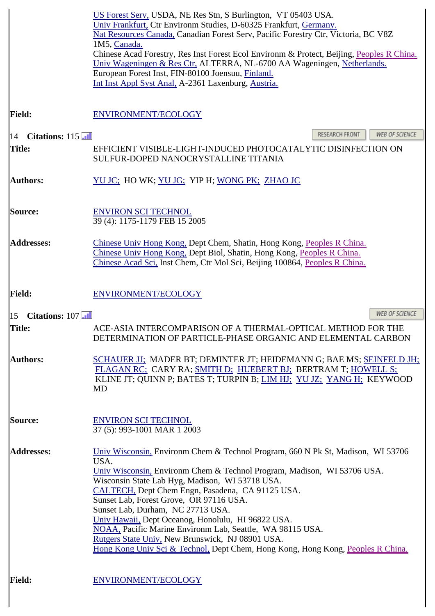|                      | US Forest Serv, USDA, NE Res Stn, S Burlington, VT 05403 USA.<br>Univ Frankfurt, Ctr Environm Studies, D-60325 Frankfurt, Germany.<br>Nat Resources Canada, Canadian Forest Serv, Pacific Forestry Ctr, Victoria, BC V8Z<br>1M5, Canada.<br>Chinese Acad Forestry, Res Inst Forest Ecol Environm & Protect, Beijing, Peoples R China.<br>Univ Wageningen & Res Ctr, ALTERRA, NL-6700 AA Wageningen, Netherlands.<br>European Forest Inst, FIN-80100 Joensuu, Finland.<br>Int Inst Appl Syst Anal, A-2361 Laxenburg, Austria.                                                                                        |
|----------------------|---------------------------------------------------------------------------------------------------------------------------------------------------------------------------------------------------------------------------------------------------------------------------------------------------------------------------------------------------------------------------------------------------------------------------------------------------------------------------------------------------------------------------------------------------------------------------------------------------------------------|
| <b>Field:</b>        | ENVIRONMENT/ECOLOGY                                                                                                                                                                                                                                                                                                                                                                                                                                                                                                                                                                                                 |
| Citations: 115<br>14 | RESEARCH FRONT<br><b>WEB OF SCIENCE</b>                                                                                                                                                                                                                                                                                                                                                                                                                                                                                                                                                                             |
| <b>Title:</b>        | EFFICIENT VISIBLE-LIGHT-INDUCED PHOTOCATALYTIC DISINFECTION ON<br>SULFUR-DOPED NANOCRYSTALLINE TITANIA                                                                                                                                                                                                                                                                                                                                                                                                                                                                                                              |
| <b>Authors:</b>      | YU JC; HO WK; YU JG; YIP H; WONG PK; ZHAO JC                                                                                                                                                                                                                                                                                                                                                                                                                                                                                                                                                                        |
| Source:              | <b>ENVIRON SCI TECHNOL</b><br>39 (4): 1175-1179 FEB 15 2005                                                                                                                                                                                                                                                                                                                                                                                                                                                                                                                                                         |
| <b>Addresses:</b>    | Chinese Univ Hong Kong, Dept Chem, Shatin, Hong Kong, Peoples R China.<br>Chinese Univ Hong Kong, Dept Biol, Shatin, Hong Kong, Peoples R China.<br>Chinese Acad Sci, Inst Chem, Ctr Mol Sci, Beijing 100864, Peoples R China.                                                                                                                                                                                                                                                                                                                                                                                      |
| <b>Field:</b>        | ENVIRONMENT/ECOLOGY                                                                                                                                                                                                                                                                                                                                                                                                                                                                                                                                                                                                 |
| Citations: 107<br>15 | WEB OF SCIENCE                                                                                                                                                                                                                                                                                                                                                                                                                                                                                                                                                                                                      |
| <b>Title:</b>        | ACE-ASIA INTERCOMPARISON OF A THERMAL-OPTICAL METHOD FOR THE<br>DETERMINATION OF PARTICLE-PHASE ORGANIC AND ELEMENTAL CARBON                                                                                                                                                                                                                                                                                                                                                                                                                                                                                        |
| <b>Authors:</b>      | SCHAUER JJ; MADER BT; DEMINTER JT; HEIDEMANN G; BAE MS; SEINFELD JH;<br>FLAGAN RC; CARY RA; SMITH D; HUEBERT BJ; BERTRAM T; HOWELL S;<br>KLINE JT; QUINN P; BATES T; TURPIN B; LIM HJ; YU JZ; YANG H; KEYWOOD<br><b>MD</b>                                                                                                                                                                                                                                                                                                                                                                                          |
| Source:              | <b>ENVIRON SCI TECHNOL</b><br>37 (5): 993-1001 MAR 1 2003                                                                                                                                                                                                                                                                                                                                                                                                                                                                                                                                                           |
| <b>Addresses:</b>    | Univ Wisconsin, Environm Chem & Technol Program, 660 N Pk St, Madison, WI 53706<br>USA.<br>Univ Wisconsin, Environm Chem & Technol Program, Madison, WI 53706 USA.<br>Wisconsin State Lab Hyg, Madison, WI 53718 USA.<br>CALTECH, Dept Chem Engn, Pasadena, CA 91125 USA.<br>Sunset Lab, Forest Grove, OR 97116 USA.<br>Sunset Lab, Durham, NC 27713 USA.<br>Univ Hawaii, Dept Oceanog, Honolulu, HI 96822 USA.<br>NOAA, Pacific Marine Environm Lab, Seattle, WA 98115 USA.<br>Rutgers State Univ, New Brunswick, NJ 08901 USA.<br>Hong Kong Univ Sci & Technol, Dept Chem, Hong Kong, Hong Kong, Peoples R China. |
| <b>Field:</b>        | ENVIRONMENT/ECOLOGY                                                                                                                                                                                                                                                                                                                                                                                                                                                                                                                                                                                                 |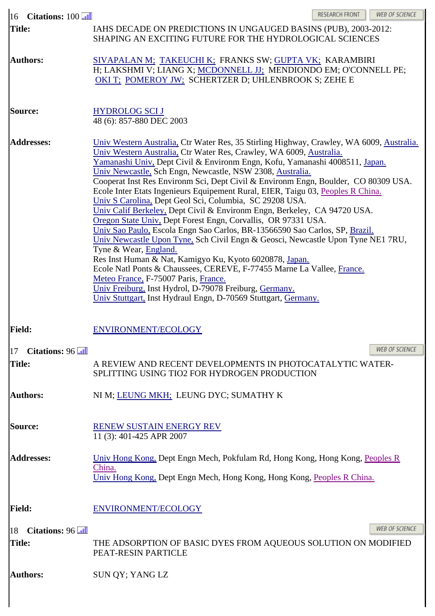| Citations: 100<br>16          | RESEARCH FRONT<br>WEB OF SCIENCE                                                                                                                                                                                                                                                                                                                                                                                                                                                                                                                                                                                                                                                                                                                                                                                                                                                                                                                                                                                                                                                                                                                                                                 |  |  |
|-------------------------------|--------------------------------------------------------------------------------------------------------------------------------------------------------------------------------------------------------------------------------------------------------------------------------------------------------------------------------------------------------------------------------------------------------------------------------------------------------------------------------------------------------------------------------------------------------------------------------------------------------------------------------------------------------------------------------------------------------------------------------------------------------------------------------------------------------------------------------------------------------------------------------------------------------------------------------------------------------------------------------------------------------------------------------------------------------------------------------------------------------------------------------------------------------------------------------------------------|--|--|
| <b>Title:</b>                 | IAHS DECADE ON PREDICTIONS IN UNGAUGED BASINS (PUB), 2003-2012:<br>SHAPING AN EXCITING FUTURE FOR THE HYDROLOGICAL SCIENCES                                                                                                                                                                                                                                                                                                                                                                                                                                                                                                                                                                                                                                                                                                                                                                                                                                                                                                                                                                                                                                                                      |  |  |
| <b>Authors:</b>               | SIVAPALAN M; TAKEUCHI K; FRANKS SW; GUPTA VK; KARAMBIRI<br>H; LAKSHMI V; LIANG X; MCDONNELL JJ; MENDIONDO EM; O'CONNELL PE;<br>OKI T; POMEROY JW; SCHERTZER D; UHLENBROOK S; ZEHE E                                                                                                                                                                                                                                                                                                                                                                                                                                                                                                                                                                                                                                                                                                                                                                                                                                                                                                                                                                                                              |  |  |
| <b>Source:</b>                | <b>HYDROLOG SCI J</b><br>48 (6): 857-880 DEC 2003                                                                                                                                                                                                                                                                                                                                                                                                                                                                                                                                                                                                                                                                                                                                                                                                                                                                                                                                                                                                                                                                                                                                                |  |  |
| <b>Addresses:</b>             | Univ Western Australia, Ctr Water Res, 35 Stirling Highway, Crawley, WA 6009, Australia.<br>Univ Western Australia, Ctr Water Res, Crawley, WA 6009, Australia.<br>Yamanashi Univ, Dept Civil & Environm Engn, Kofu, Yamanashi 4008511, Japan.<br>Univ Newcastle, Sch Engn, Newcastle, NSW 2308, Australia.<br>Cooperat Inst Res Environm Sci, Dept Civil & Environm Engn, Boulder, CO 80309 USA.<br>Ecole Inter Etats Ingenieurs Equipement Rural, EIER, Taigu 03, Peoples R China.<br>Univ S Carolina, Dept Geol Sci, Columbia, SC 29208 USA.<br>Univ Calif Berkeley, Dept Civil & Environm Engn, Berkeley, CA 94720 USA.<br>Oregon State Univ. Dept Forest Engn, Corvallis, OR 97331 USA.<br>Univ Sao Paulo, Escola Engn Sao Carlos, BR-13566590 Sao Carlos, SP, Brazil.<br>Univ Newcastle Upon Tyne, Sch Civil Engn & Geosci, Newcastle Upon Tyne NE1 7RU,<br>Tyne & Wear, England.<br>Res Inst Human & Nat, Kamigyo Ku, Kyoto 6020878, Japan.<br>Ecole Natl Ponts & Chaussees, CEREVE, F-77455 Marne La Vallee, France.<br>Meteo France, F-75007 Paris, France.<br>Univ Freiburg, Inst Hydrol, D-79078 Freiburg, Germany.<br>Univ Stuttgart, Inst Hydraul Engn, D-70569 Stuttgart, Germany. |  |  |
| <b>Field:</b>                 | ENVIRONMENT/ECOLOGY                                                                                                                                                                                                                                                                                                                                                                                                                                                                                                                                                                                                                                                                                                                                                                                                                                                                                                                                                                                                                                                                                                                                                                              |  |  |
| Citations: 96<br>17           | <b>WEB OF SCIENCE</b>                                                                                                                                                                                                                                                                                                                                                                                                                                                                                                                                                                                                                                                                                                                                                                                                                                                                                                                                                                                                                                                                                                                                                                            |  |  |
| <b>Title:</b>                 | A REVIEW AND RECENT DEVELOPMENTS IN PHOTOCATALYTIC WATER-<br>SPLITTING USING TIO2 FOR HYDROGEN PRODUCTION                                                                                                                                                                                                                                                                                                                                                                                                                                                                                                                                                                                                                                                                                                                                                                                                                                                                                                                                                                                                                                                                                        |  |  |
| <b>Authors:</b>               | NI M; LEUNG MKH; LEUNG DYC; SUMATHY K                                                                                                                                                                                                                                                                                                                                                                                                                                                                                                                                                                                                                                                                                                                                                                                                                                                                                                                                                                                                                                                                                                                                                            |  |  |
| <b>Source:</b>                | <b>RENEW SUSTAIN ENERGY REV</b><br>11 (3): 401-425 APR 2007                                                                                                                                                                                                                                                                                                                                                                                                                                                                                                                                                                                                                                                                                                                                                                                                                                                                                                                                                                                                                                                                                                                                      |  |  |
| <b>Addresses:</b>             | Univ Hong Kong, Dept Engn Mech, Pokfulam Rd, Hong Kong, Hong Kong, Peoples R<br>China.<br>Univ Hong Kong, Dept Engn Mech, Hong Kong, Hong Kong, Peoples R China.                                                                                                                                                                                                                                                                                                                                                                                                                                                                                                                                                                                                                                                                                                                                                                                                                                                                                                                                                                                                                                 |  |  |
| <b>Field:</b>                 | <b>ENVIRONMENT/ECOLOGY</b>                                                                                                                                                                                                                                                                                                                                                                                                                                                                                                                                                                                                                                                                                                                                                                                                                                                                                                                                                                                                                                                                                                                                                                       |  |  |
| Citations: 96<br>18<br>Title: | WEB OF SCIENCE<br>THE ADSORPTION OF BASIC DYES FROM AQUEOUS SOLUTION ON MODIFIED<br>PEAT-RESIN PARTICLE                                                                                                                                                                                                                                                                                                                                                                                                                                                                                                                                                                                                                                                                                                                                                                                                                                                                                                                                                                                                                                                                                          |  |  |
| <b>Authors:</b>               | SUN QY; YANG LZ                                                                                                                                                                                                                                                                                                                                                                                                                                                                                                                                                                                                                                                                                                                                                                                                                                                                                                                                                                                                                                                                                                                                                                                  |  |  |
|                               |                                                                                                                                                                                                                                                                                                                                                                                                                                                                                                                                                                                                                                                                                                                                                                                                                                                                                                                                                                                                                                                                                                                                                                                                  |  |  |